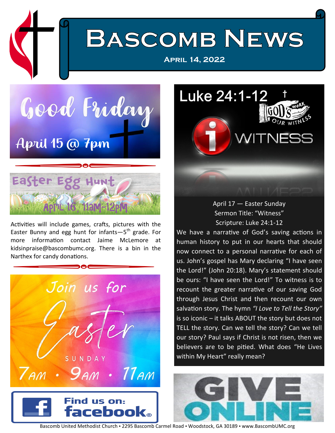

**[April 14, 2022](http://www.bascombumc.org/)**

Good Friday April 15 @ 7pm



Activities will include games, crafts, pictures with the Easter Bunny and egg hunt for infants—5<sup>th</sup> grade. For more information contact Jaime McLemore at kidsinpraise@bascombumc.org. There is a bin in the Narthex for candy donations.



Luke 24:1-12 WITNE

## April 17 — Easter Sunday Sermon Title: "Witness" Scripture: Luke 24:1-12

We have a narrative of God's saving actions in human history to put in our hearts that should now connect to a personal narrative for each of us. John's gospel has Mary declaring "I have seen the Lord!" (John 20:18). Mary's statement should be ours: "I have seen the Lord!" To witness is to recount the greater narrative of our saving God through Jesus Christ and then recount our own salvation story. The hymn *"I Love to Tell the Story"* is so iconic – it talks ABOUT the story but does not TELL the story. Can we tell the story? Can we tell our story? Paul says if Christ is not risen, then we believers are to be pitied. What does "He Lives within My Heart" really mean?



Bascomb United Methodist Church · 2295 Bascomb Carmel Road · Woodstock, GA 30189 · [www.BascombUMC.org](http://www.bascombumc.org)